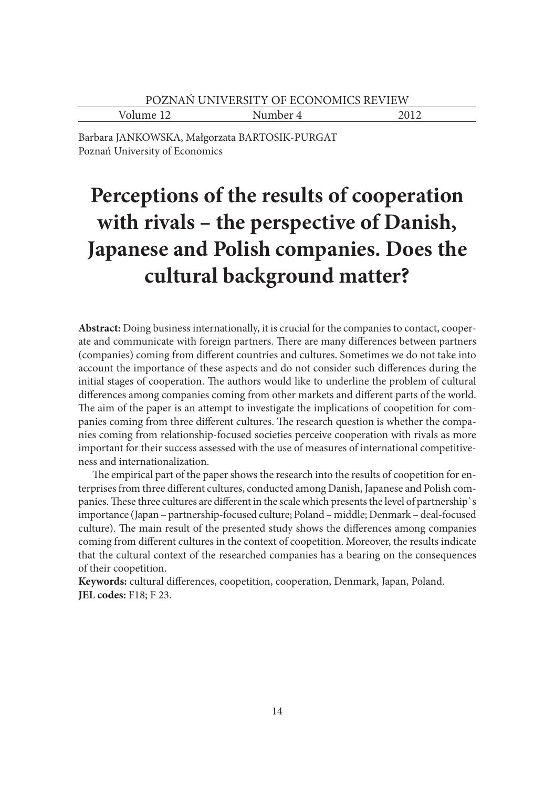Volume 12 Number 4 2012

Barbara JANKOWSKA, Małgorzata BARTOSIK-PURGAT Poznań University of Economics

# **Perceptions of the results of cooperation with rivals – the perspective of Danish, Japanese and Polish companies. Does the cultural background matter?**

**Abstract:** Doing business internationally, it is crucial for the companies to contact, cooperate and communicate with foreign partners. There are many differences between partners (companies) coming from different countries and cultures. Sometimes we do not take into account the importance of these aspects and do not consider such differences during the initial stages of cooperation. The authors would like to underline the problem of cultural differences among companies coming from other markets and different parts of the world. The aim of the paper is an attempt to investigate the implications of coopetition for companies coming from three different cultures. The research question is whether the companies coming from relationship-focused societies perceive cooperation with rivals as more important for their success assessed with the use of measures of international competitiveness and internationalization.

The empirical part of the paper shows the research into the results of coopetition for enterprises from three different cultures, conducted among Danish, Japanese and Polish companies. These three cultures are different in the scale which presents the level of partnership's importance (Japan – partnership-focused culture; Poland – middle; Denmark – deal-focused culture). The main result of the presented study shows the differences among companies coming from different cultures in the context of coopetition. Moreover, the results indicate that the cultural context of the researched companies has a bearing on the consequences of their coopetition.

Keywords: cultural differences, coopetition, cooperation, Denmark, Japan, Poland. **JEL codes:** F18; F 23.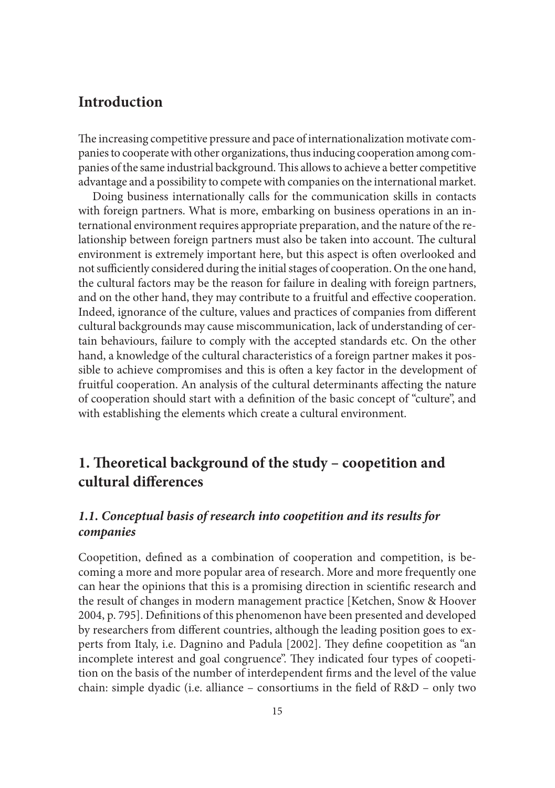### **Introduction**

The increasing competitive pressure and pace of internationalization motivate companies to cooperate with other organizations, thus inducing cooperation among companies of the same industrial background. This allows to achieve a better competitive advantage and a possibility to compete with companies on the international market.

Doing business internationally calls for the communication skills in contacts with foreign partners. What is more, embarking on business operations in an international environment requires appropriate preparation, and the nature of the relationship between foreign partners must also be taken into account. The cultural environment is extremely important here, but this aspect is often overlooked and not sufficiently considered during the initial stages of cooperation. On the one hand, the cultural factors may be the reason for failure in dealing with foreign partners, and on the other hand, they may contribute to a fruitful and effective cooperation. Indeed, ignorance of the culture, values and practices of companies from different cultural backgrounds may cause miscommunication, lack of understanding of certain behaviours, failure to comply with the accepted standards etc. On the other hand, a knowledge of the cultural characteristics of a foreign partner makes it possible to achieve compromises and this is often a key factor in the development of fruitful cooperation. An analysis of the cultural determinants affecting the nature of cooperation should start with a definition of the basic concept of "culture", and with establishing the elements which create a cultural environment.

## **1. Theoretical background of the study – coopetition and cultural diff erences**

#### *1.1. Conceptual basis of research into coopetition and its results for companies*

Coopetition, defined as a combination of cooperation and competition, is becoming a more and more popular area of research. More and more frequently one can hear the opinions that this is a promising direction in scientific research and the result of changes in modern management practice [Ketchen, Snow & Hoover 2004, p. 795]. Definitions of this phenomenon have been presented and developed by researchers from different countries, although the leading position goes to experts from Italy, i.e. Dagnino and Padula [2002]. They define coopetition as "an incomplete interest and goal congruence". They indicated four types of coopetition on the basis of the number of interdependent firms and the level of the value chain: simple dyadic (i.e. alliance – consortiums in the field of  $R&D$  – only two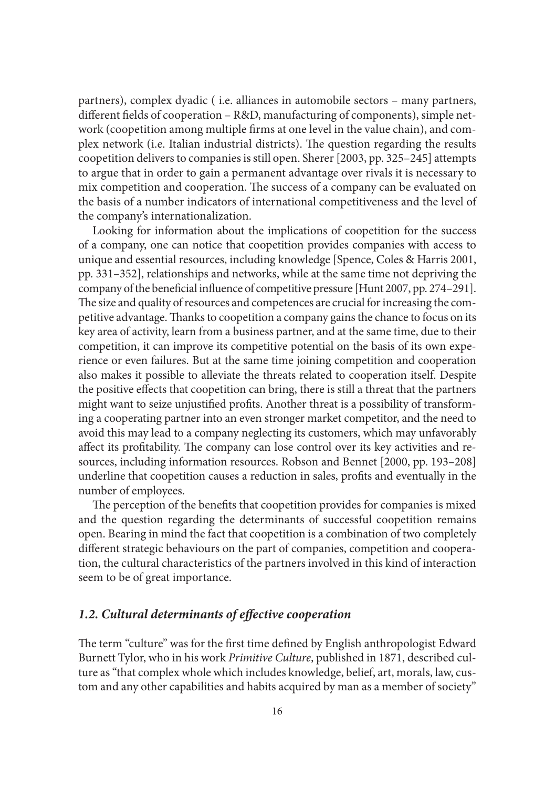partners), complex dyadic ( i.e. alliances in automobile sectors – many partners, different fields of cooperation – R&D, manufacturing of components), simple network (coopetition among multiple firms at one level in the value chain), and complex network (i.e. Italian industrial districts). The question regarding the results coopetition delivers to companies is still open. Sherer [2003, pp. 325–245] attempts to argue that in order to gain a permanent advantage over rivals it is necessary to mix competition and cooperation. The success of a company can be evaluated on the basis of a number indicators of international competitiveness and the level of the company's internationalization.

Looking for information about the implications of coopetition for the success of a company, one can notice that coopetition provides companies with access to unique and essential resources, including knowledge [Spence, Coles & Harris 2001, pp. 331–352], relationships and networks, while at the same time not depriving the company of the beneficial influence of competitive pressure [Hunt 2007, pp. 274–291]. The size and quality of resources and competences are crucial for increasing the competitive advantage. Thanks to coopetition a company gains the chance to focus on its key area of activity, learn from a business partner, and at the same time, due to their competition, it can improve its competitive potential on the basis of its own experience or even failures. But at the same time joining competition and cooperation also makes it possible to alleviate the threats related to cooperation itself. Despite the positive effects that coopetition can bring, there is still a threat that the partners might want to seize unjustified profits. Another threat is a possibility of transforming a cooperating partner into an even stronger market competitor, and the need to avoid this may lead to a company neglecting its customers, which may unfavorably affect its profitability. The company can lose control over its key activities and resources, including information resources. Robson and Bennet [2000, pp. 193–208] underline that coopetition causes a reduction in sales, profits and eventually in the number of employees.

The perception of the benefits that coopetition provides for companies is mixed and the question regarding the determinants of successful coopetition remains open. Bearing in mind the fact that coopetition is a combination of two completely different strategic behaviours on the part of companies, competition and cooperation, the cultural characteristics of the partners involved in this kind of interaction seem to be of great importance.

#### 1.2. Cultural determinants of effective cooperation

The term "culture" was for the first time defined by English anthropologist Edward Burnett Tylor, who in his work *Primitive Culture*, published in 1871, described culture as "that complex whole which includes knowledge, belief, art, morals, law, custom and any other capabilities and habits acquired by man as a member of society"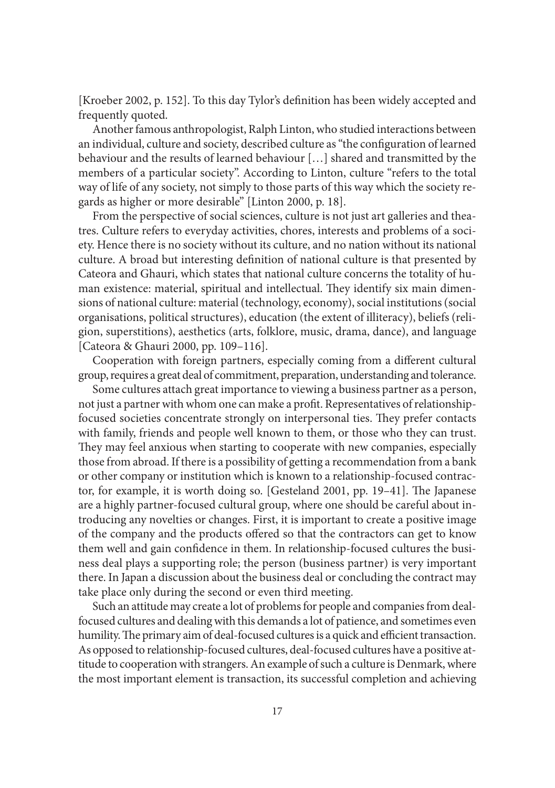[Kroeber 2002, p. 152]. To this day Tylor's definition has been widely accepted and frequently quoted.

Another famous anthropologist, Ralph Linton, who studied interactions between an individual, culture and society, described culture as "the configuration of learned behaviour and the results of learned behaviour […] shared and transmitted by the members of a particular society". According to Linton, culture "refers to the total way of life of any society, not simply to those parts of this way which the society regards as higher or more desirable" [Linton 2000, p. 18].

From the perspective of social sciences, culture is not just art galleries and theatres. Culture refers to everyday activities, chores, interests and problems of a society. Hence there is no society without its culture, and no nation without its national culture. A broad but interesting definition of national culture is that presented by Cateora and Ghauri, which states that national culture concerns the totality of human existence: material, spiritual and intellectual. They identify six main dimensions of national culture: material (technology, economy), social institutions (social organisations, political structures), education (the extent of illiteracy), beliefs (religion, superstitions), aesthetics (arts, folklore, music, drama, dance), and language [Cateora & Ghauri 2000, pp. 109–116].

Cooperation with foreign partners, especially coming from a different cultural group, requires a great deal of commitment, preparation, understanding and tolerance.

Some cultures attach great importance to viewing a business partner as a person, not just a partner with whom one can make a profit. Representatives of relationshipfocused societies concentrate strongly on interpersonal ties. They prefer contacts with family, friends and people well known to them, or those who they can trust. They may feel anxious when starting to cooperate with new companies, especially those from abroad. If there is a possibility of getting a recommendation from a bank or other company or institution which is known to a relationship-focused contractor, for example, it is worth doing so. [Gesteland 2001, pp. 19-41]. The Japanese are a highly partner-focused cultural group, where one should be careful about introducing any novelties or changes. First, it is important to create a positive image of the company and the products offered so that the contractors can get to know them well and gain confidence in them. In relationship-focused cultures the business deal plays a supporting role; the person (business partner) is very important there. In Japan a discussion about the business deal or concluding the contract may take place only during the second or even third meeting.

Such an attitude may create a lot of problems for people and companies from dealfocused cultures and dealing with this demands a lot of patience, and sometimes even humility. The primary aim of deal-focused cultures is a quick and efficient transaction. As opposed to relationship-focused cultures, deal-focused cultures have a positive attitude to cooperation with strangers. An example of such a culture is Denmark, where the most important element is transaction, its successful completion and achieving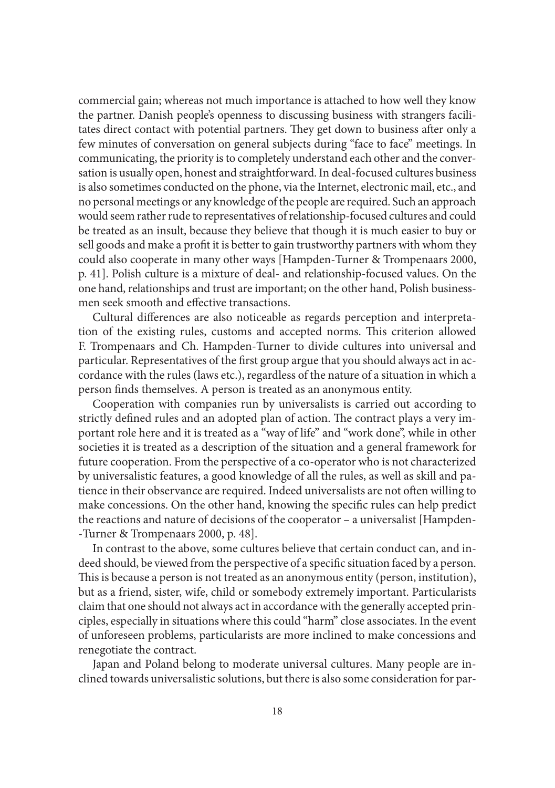commercial gain; whereas not much importance is attached to how well they know the partner. Danish people's openness to discussing business with strangers facilitates direct contact with potential partners. They get down to business after only a few minutes of conversation on general subjects during "face to face" meetings. In communicating, the priority is to completely understand each other and the conversation is usually open, honest and straightforward. In deal-focused cultures business is also sometimes conducted on the phone, via the Internet, electronic mail, etc., and no personal meetings or any knowledge of the people are required. Such an approach would seem rather rude to representatives of relationship-focused cultures and could be treated as an insult, because they believe that though it is much easier to buy or sell goods and make a profit it is better to gain trustworthy partners with whom they could also cooperate in many other ways [Hampden-Turner & Trompenaars 2000, p. 41]. Polish culture is a mixture of deal- and relationship-focused values. On the one hand, relationships and trust are important; on the other hand, Polish businessmen seek smooth and effective transactions.

Cultural differences are also noticeable as regards perception and interpretation of the existing rules, customs and accepted norms. This criterion allowed F. Trompenaars and Ch. Hampden-Turner to divide cultures into universal and particular. Representatives of the first group argue that you should always act in accordance with the rules (laws etc.), regardless of the nature of a situation in which a person finds themselves. A person is treated as an anonymous entity.

Cooperation with companies run by universalists is carried out according to strictly defined rules and an adopted plan of action. The contract plays a very important role here and it is treated as a "way of life" and "work done", while in other societies it is treated as a description of the situation and a general framework for future cooperation. From the perspective of a co-operator who is not characterized by universalistic features, a good knowledge of all the rules, as well as skill and patience in their observance are required. Indeed universalists are not often willing to make concessions. On the other hand, knowing the specific rules can help predict the reactions and nature of decisions of the cooperator – a universalist [Hampden- -Turner & Trompenaars 2000, p. 48].

In contrast to the above, some cultures believe that certain conduct can, and indeed should, be viewed from the perspective of a specific situation faced by a person. This is because a person is not treated as an anonymous entity (person, institution), but as a friend, sister, wife, child or somebody extremely important. Particularists claim that one should not always act in accordance with the generally accepted principles, especially in situations where this could "harm" close associates. In the event of unforeseen problems, particularists are more inclined to make concessions and renegotiate the contract.

Japan and Poland belong to moderate universal cultures. Many people are inclined towards universalistic solutions, but there is also some consideration for par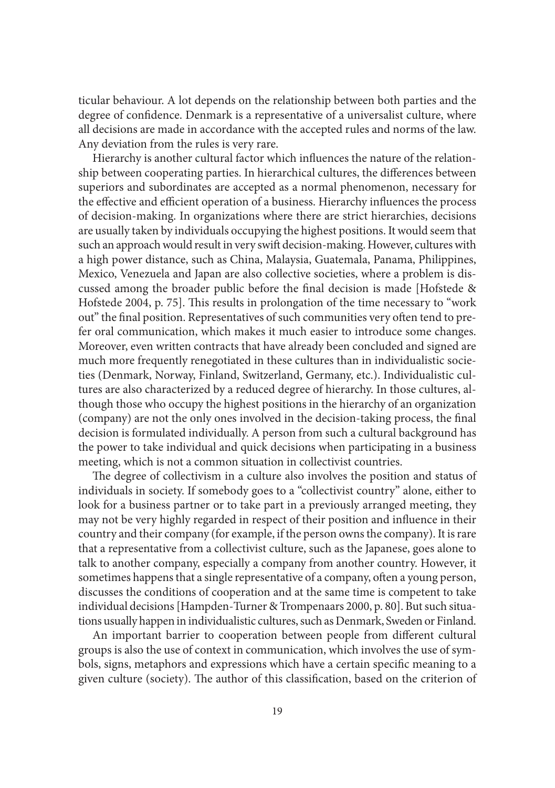ticular behaviour. A lot depends on the relationship between both parties and the degree of confidence. Denmark is a representative of a universalist culture, where all decisions are made in accordance with the accepted rules and norms of the law. Any deviation from the rules is very rare.

Hierarchy is another cultural factor which influences the nature of the relationship between cooperating parties. In hierarchical cultures, the differences between superiors and subordinates are accepted as a normal phenomenon, necessary for the effective and efficient operation of a business. Hierarchy influences the process of decision-making. In organizations where there are strict hierarchies, decisions are usually taken by individuals occupying the highest positions. It would seem that such an approach would result in very swift decision-making. However, cultures with a high power distance, such as China, Malaysia, Guatemala, Panama, Philippines, Mexico, Venezuela and Japan are also collective societies, where a problem is discussed among the broader public before the final decision is made [Hofstede & Hofstede 2004, p. 75]. This results in prolongation of the time necessary to "work out" the final position. Representatives of such communities very often tend to prefer oral communication, which makes it much easier to introduce some changes. Moreover, even written contracts that have already been concluded and signed are much more frequently renegotiated in these cultures than in individualistic societies (Denmark, Norway, Finland, Switzerland, Germany, etc.). Individualistic cultures are also characterized by a reduced degree of hierarchy. In those cultures, although those who occupy the highest positions in the hierarchy of an organization (company) are not the only ones involved in the decision-taking process, the final decision is formulated individually. A person from such a cultural background has the power to take individual and quick decisions when participating in a business meeting, which is not a common situation in collectivist countries.

The degree of collectivism in a culture also involves the position and status of individuals in society. If somebody goes to a "collectivist country" alone, either to look for a business partner or to take part in a previously arranged meeting, they may not be very highly regarded in respect of their position and influence in their country and their company (for example, if the person owns the company). It is rare that a representative from a collectivist culture, such as the Japanese, goes alone to talk to another company, especially a company from another country. However, it sometimes happens that a single representative of a company, often a young person, discusses the conditions of cooperation and at the same time is competent to take individual decisions [Hampden-Turner & Trompenaars 2000, p. 80]. But such situations usually happen in individualistic cultures, such as Denmark, Sweden or Finland.

An important barrier to cooperation between people from different cultural groups is also the use of context in communication, which involves the use of symbols, signs, metaphors and expressions which have a certain specific meaning to a given culture (society). The author of this classification, based on the criterion of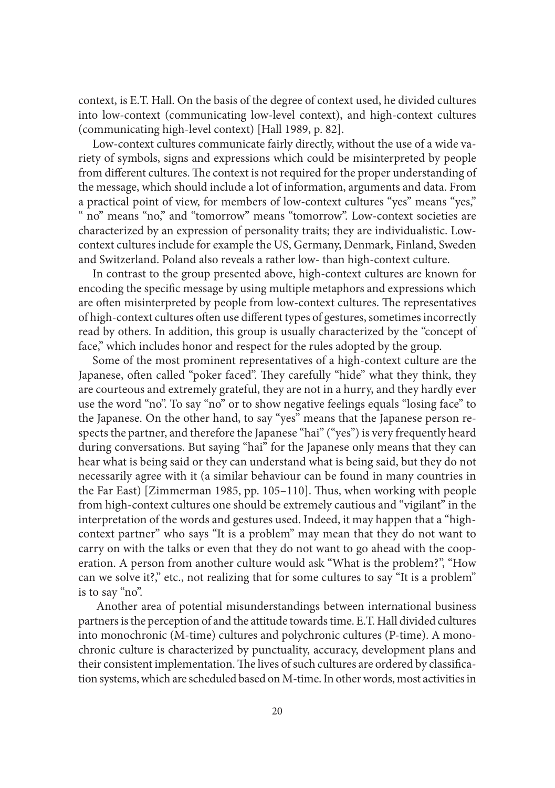context, is E.T. Hall. On the basis of the degree of context used, he divided cultures into low-context (communicating low-level context), and high-context cultures (communicating high-level context) [Hall 1989, p. 82].

Low-context cultures communicate fairly directly, without the use of a wide variety of symbols, signs and expressions which could be misinterpreted by people from different cultures. The context is not required for the proper understanding of the message, which should include a lot of information, arguments and data. From a practical point of view, for members of low-context cultures "yes" means "yes," " no" means "no," and "tomorrow" means "tomorrow". Low-context societies are characterized by an expression of personality traits; they are individualistic. Lowcontext cultures include for example the US, Germany, Denmark, Finland, Sweden and Switzerland. Poland also reveals a rather low- than high-context culture.

In contrast to the group presented above, high-context cultures are known for encoding the specific message by using multiple metaphors and expressions which are often misinterpreted by people from low-context cultures. The representatives of high-context cultures often use different types of gestures, sometimes incorrectly read by others. In addition, this group is usually characterized by the "concept of face," which includes honor and respect for the rules adopted by the group.

Some of the most prominent representatives of a high-context culture are the Japanese, often called "poker faced". They carefully "hide" what they think, they are courteous and extremely grateful, they are not in a hurry, and they hardly ever use the word "no". To say "no" or to show negative feelings equals "losing face" to the Japanese. On the other hand, to say "yes" means that the Japanese person respects the partner, and therefore the Japanese "hai" ("yes") is very frequently heard during conversations. But saying "hai" for the Japanese only means that they can hear what is being said or they can understand what is being said, but they do not necessarily agree with it (a similar behaviour can be found in many countries in the Far East) [Zimmerman 1985, pp. 105–110]. Thus, when working with people from high-context cultures one should be extremely cautious and "vigilant" in the interpretation of the words and gestures used. Indeed, it may happen that a "highcontext partner" who says "It is a problem" may mean that they do not want to carry on with the talks or even that they do not want to go ahead with the cooperation. A person from another culture would ask "What is the problem?", "How can we solve it?," etc., not realizing that for some cultures to say "It is a problem" is to say "no".

 Another area of potential misunderstandings between international business partners is the perception of and the attitude towards time. E.T. Hall divided cultures into monochronic (M-time) cultures and polychronic cultures (P-time). A monochronic culture is characterized by punctuality, accuracy, development plans and their consistent implementation. The lives of such cultures are ordered by classification systems, which are scheduled based on M-time. In other words, most activities in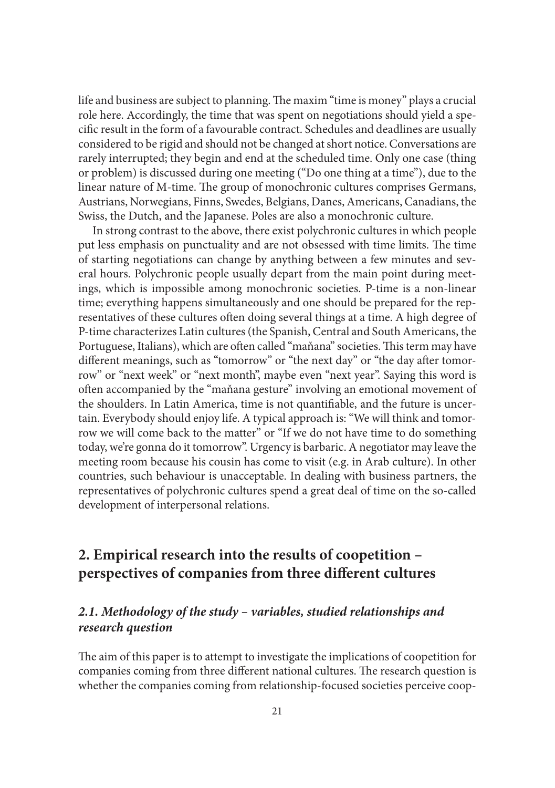life and business are subject to planning. The maxim "time is money" plays a crucial role here. Accordingly, the time that was spent on negotiations should yield a specific result in the form of a favourable contract. Schedules and deadlines are usually considered to be rigid and should not be changed at short notice. Conversations are rarely interrupted; they begin and end at the scheduled time. Only one case (thing or problem) is discussed during one meeting ("Do one thing at a time"), due to the linear nature of M-time. The group of monochronic cultures comprises Germans, Austrians, Norwegians, Finns, Swedes, Belgians, Danes, Americans, Canadians, the Swiss, the Dutch, and the Japanese. Poles are also a monochronic culture.

In strong contrast to the above, there exist polychronic cultures in which people put less emphasis on punctuality and are not obsessed with time limits. The time of starting negotiations can change by anything between a few minutes and several hours. Polychronic people usually depart from the main point during meetings, which is impossible among monochronic societies. P-time is a non-linear time; everything happens simultaneously and one should be prepared for the representatives of these cultures often doing several things at a time. A high degree of P-time characterizes Latin cultures (the Spanish, Central and South Americans, the Portuguese, Italians), which are often called "maňana" societies. This term may have different meanings, such as "tomorrow" or "the next day" or "the day after tomorrow" or "next week" or "next month", maybe even "next year". Saying this word is often accompanied by the "maňana gesture" involving an emotional movement of the shoulders. In Latin America, time is not quantifiable, and the future is uncertain. Everybody should enjoy life. A typical approach is: "We will think and tomorrow we will come back to the matter" or "If we do not have time to do something today, we're gonna do it tomorrow". Urgency is barbaric. A negotiator may leave the meeting room because his cousin has come to visit (e.g. in Arab culture). In other countries, such behaviour is unacceptable. In dealing with business partners, the representatives of polychronic cultures spend a great deal of time on the so-called development of interpersonal relations.

# **2. Empirical research into the results of coopetition –**  perspectives of companies from three different cultures

#### *2.1. Methodology of the study – variables, studied relationships and research question*

The aim of this paper is to attempt to investigate the implications of coopetition for companies coming from three different national cultures. The research question is whether the companies coming from relationship-focused societies perceive coop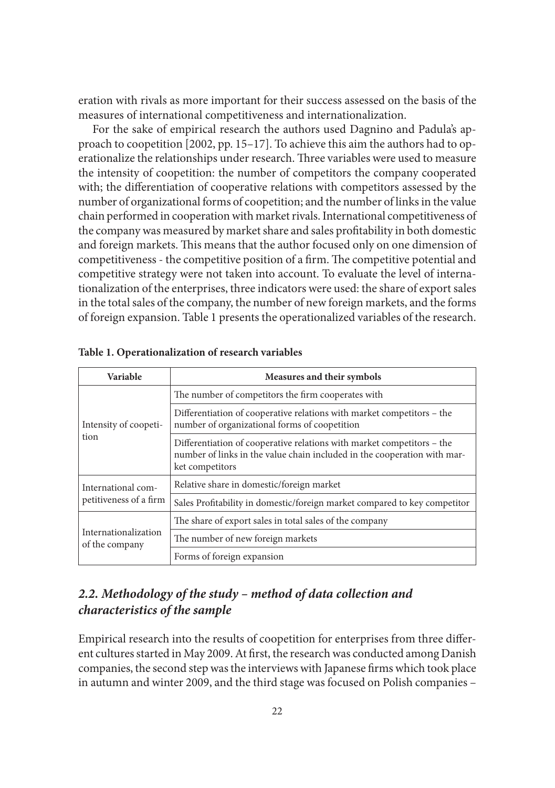eration with rivals as more important for their success assessed on the basis of the measures of international competitiveness and internationalization.

For the sake of empirical research the authors used Dagnino and Padula's approach to coopetition [2002, pp. 15–17]. To achieve this aim the authors had to operationalize the relationships under research. Three variables were used to measure the intensity of coopetition: the number of competitors the company cooperated with; the differentiation of cooperative relations with competitors assessed by the number of organizational forms of coopetition; and the number of links in the value chain performed in cooperation with market rivals. International competitiveness of the company was measured by market share and sales profitability in both domestic and foreign markets. This means that the author focused only on one dimension of competitiveness - the competitive position of a firm. The competitive potential and competitive strategy were not taken into account. To evaluate the level of internationalization of the enterprises, three indicators were used: the share of export sales in the total sales of the company, the number of new foreign markets, and the forms of foreign expansion. Table 1 presents the operationalized variables of the research.

| <b>Variable</b>                              | Measures and their symbols                                                                                                                                            |  |  |
|----------------------------------------------|-----------------------------------------------------------------------------------------------------------------------------------------------------------------------|--|--|
| Intensity of coopeti-<br>tion                | The number of competitors the firm cooperates with                                                                                                                    |  |  |
|                                              | Differentiation of cooperative relations with market competitors – the<br>number of organizational forms of coopetition                                               |  |  |
|                                              | Differentiation of cooperative relations with market competitors – the<br>number of links in the value chain included in the cooperation with mar-<br>ket competitors |  |  |
| International com-<br>petitiveness of a firm | Relative share in domestic/foreign market                                                                                                                             |  |  |
|                                              | Sales Profitability in domestic/foreign market compared to key competitor                                                                                             |  |  |
| Internationalization<br>of the company       | The share of export sales in total sales of the company                                                                                                               |  |  |
|                                              | The number of new foreign markets                                                                                                                                     |  |  |
|                                              | Forms of foreign expansion                                                                                                                                            |  |  |

#### **Table 1. Operationalization of research variables**

#### *2.2. Methodology of the study – method of data collection and characteristics of the sample*

Empirical research into the results of coopetition for enterprises from three different cultures started in May 2009. At first, the research was conducted among Danish companies, the second step was the interviews with Japanese firms which took place in autumn and winter 2009, and the third stage was focused on Polish companies –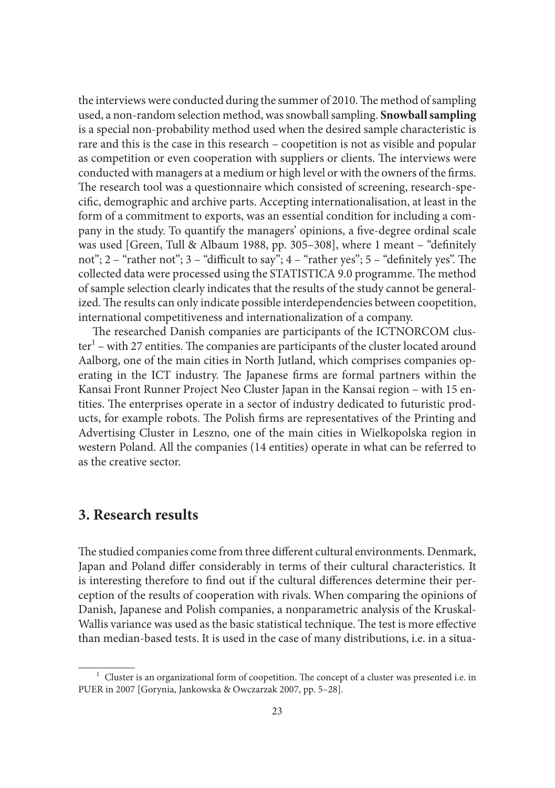the interviews were conducted during the summer of 2010. The method of sampling used, a non-random selection method, was snowball sampling. **Snowball sampling** is a special non-probability method used when the desired sample characteristic is rare and this is the case in this research – coopetition is not as visible and popular as competition or even cooperation with suppliers or clients. The interviews were conducted with managers at a medium or high level or with the owners of the firms. The research tool was a questionnaire which consisted of screening, research-specific, demographic and archive parts. Accepting internationalisation, at least in the form of a commitment to exports, was an essential condition for including a company in the study. To quantify the managers' opinions, a five-degree ordinal scale was used [Green, Tull & Albaum 1988, pp. 305-308], where 1 meant - "definitely not"; 2 – "rather not"; 3 – "difficult to say"; 4 – "rather yes"; 5 – "definitely yes". The collected data were processed using the STATISTICA 9.0 programme. The method of sample selection clearly indicates that the results of the study cannot be generalized. The results can only indicate possible interdependencies between coopetition, international competitiveness and internationalization of a company.

The researched Danish companies are participants of the ICTNORCOM cluster<sup>1</sup> – with 27 entities. The companies are participants of the cluster located around Aalborg, one of the main cities in North Jutland, which comprises companies operating in the ICT industry. The Japanese firms are formal partners within the Kansai Front Runner Project Neo Cluster Japan in the Kansai region – with 15 entities. The enterprises operate in a sector of industry dedicated to futuristic products, for example robots. The Polish firms are representatives of the Printing and Advertising Cluster in Leszno, one of the main cities in Wielkopolska region in western Poland. All the companies (14 entities) operate in what can be referred to as the creative sector.

#### **3. Research results**

The studied companies come from three different cultural environments. Denmark, Japan and Poland differ considerably in terms of their cultural characteristics. It is interesting therefore to find out if the cultural differences determine their perception of the results of cooperation with rivals. When comparing the opinions of Danish, Japanese and Polish companies, a nonparametric analysis of the Kruskal-Wallis variance was used as the basic statistical technique. The test is more effective than median-based tests. It is used in the case of many distributions, i.e. in a situa-

 $1$  Cluster is an organizational form of coopetition. The concept of a cluster was presented i.e. in PUER in 2007 [Gorynia, Jankowska & Owczarzak 2007, pp. 5–28].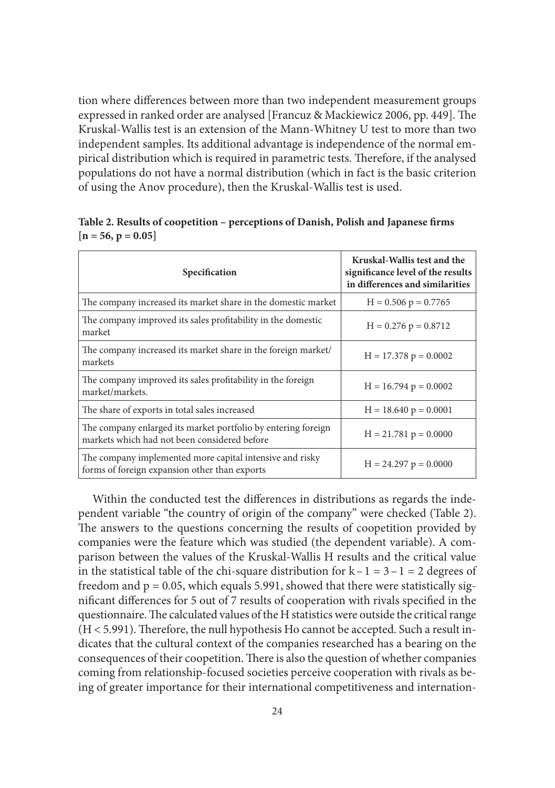tion where differences between more than two independent measurement groups expressed in ranked order are analysed [Francuz & Mackiewicz 2006, pp. 449]. The Kruskal-Wallis test is an extension of the Mann-Whitney U test to more than two independent samples. Its additional advantage is independence of the normal empirical distribution which is required in parametric tests. Therefore, if the analysed populations do not have a normal distribution (which in fact is the basic criterion of using the Anov procedure), then the Kruskal-Wallis test is used.

| Specification                                                                                                 | Kruskal-Wallis test and the<br>significance level of the results<br>in differences and similarities |
|---------------------------------------------------------------------------------------------------------------|-----------------------------------------------------------------------------------------------------|
| The company increased its market share in the domestic market                                                 | $H = 0.506$ p = 0.7765                                                                              |
| The company improved its sales profitability in the domestic<br>market                                        | $H = 0.276$ p = 0.8712                                                                              |
| The company increased its market share in the foreign market/<br>markets                                      | $H = 17.378$ p = 0.0002                                                                             |
| The company improved its sales profitability in the foreign<br>market/markets.                                | $H = 16.794 p = 0.0002$                                                                             |
| The share of exports in total sales increased                                                                 | $H = 18.640 p = 0.0001$                                                                             |
| The company enlarged its market portfolio by entering foreign<br>markets which had not been considered before | $H = 21.781 p = 0.0000$                                                                             |
| The company implemented more capital intensive and risky<br>forms of foreign expansion other than exports     | $H = 24.297 p = 0.0000$                                                                             |

Table 2. Results of coopetition - perceptions of Danish, Polish and Japanese firms **[n = 56, p = 0.05]**

Within the conducted test the differences in distributions as regards the independent variable "the country of origin of the company" were checked (Table 2). The answers to the questions concerning the results of coopetition provided by companies were the feature which was studied (the dependent variable). A comparison between the values of the Kruskal-Wallis H results and the critical value in the statistical table of the chi-square distribution for  $k - 1 = 3 - 1 = 2$  degrees of freedom and  $p = 0.05$ , which equals 5.991, showed that there were statistically significant differences for 5 out of 7 results of cooperation with rivals specified in the questionnaire. The calculated values of the H statistics were outside the critical range  $(H < 5.991)$ . Therefore, the null hypothesis Ho cannot be accepted. Such a result indicates that the cultural context of the companies researched has a bearing on the consequences of their coopetition. There is also the question of whether companies coming from relationship-focused societies perceive cooperation with rivals as being of greater importance for their international competitiveness and internation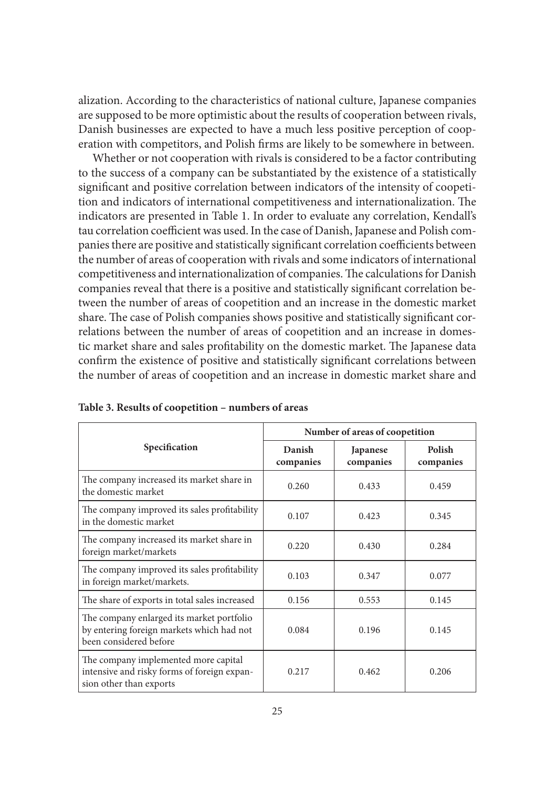alization. According to the characteristics of national culture, Japanese companies are supposed to be more optimistic about the results of cooperation between rivals, Danish businesses are expected to have a much less positive perception of cooperation with competitors, and Polish firms are likely to be somewhere in between.

Whether or not cooperation with rivals is considered to be a factor contributing to the success of a company can be substantiated by the existence of a statistically significant and positive correlation between indicators of the intensity of coopetition and indicators of international competitiveness and internationalization. The indicators are presented in Table 1. In order to evaluate any correlation, Kendall's tau correlation coefficient was used. In the case of Danish, Japanese and Polish companies there are positive and statistically significant correlation coefficients between the number of areas of cooperation with rivals and some indicators of international competitiveness and internationalization of companies. The calculations for Danish companies reveal that there is a positive and statistically significant correlation between the number of areas of coopetition and an increase in the domestic market share. The case of Polish companies shows positive and statistically significant correlations between the number of areas of coopetition and an increase in domestic market share and sales profitability on the domestic market. The Japanese data confirm the existence of positive and statistically significant correlations between the number of areas of coopetition and an increase in domestic market share and

|                                                                                                                  | Number of areas of coopetition |                       |                     |
|------------------------------------------------------------------------------------------------------------------|--------------------------------|-----------------------|---------------------|
| Specification                                                                                                    | Danish<br>companies            | Japanese<br>companies | Polish<br>companies |
| The company increased its market share in<br>the domestic market                                                 | 0.260                          | 0.433                 | 0.459               |
| The company improved its sales profitability<br>in the domestic market                                           | 0.107                          | 0.423                 | 0.345               |
| The company increased its market share in<br>foreign market/markets                                              | 0.220                          | 0.430                 | 0.284               |
| The company improved its sales profitability<br>in foreign market/markets.                                       | 0.103                          | 0.347                 | 0.077               |
| The share of exports in total sales increased                                                                    | 0.156                          | 0.553                 | 0.145               |
| The company enlarged its market portfolio<br>by entering foreign markets which had not<br>been considered before | 0.084                          | 0.196                 | 0.145               |
| The company implemented more capital<br>intensive and risky forms of foreign expan-<br>sion other than exports   | 0.217                          | 0.462                 | 0.206               |

**Table 3. Results of coopetition – numbers of areas**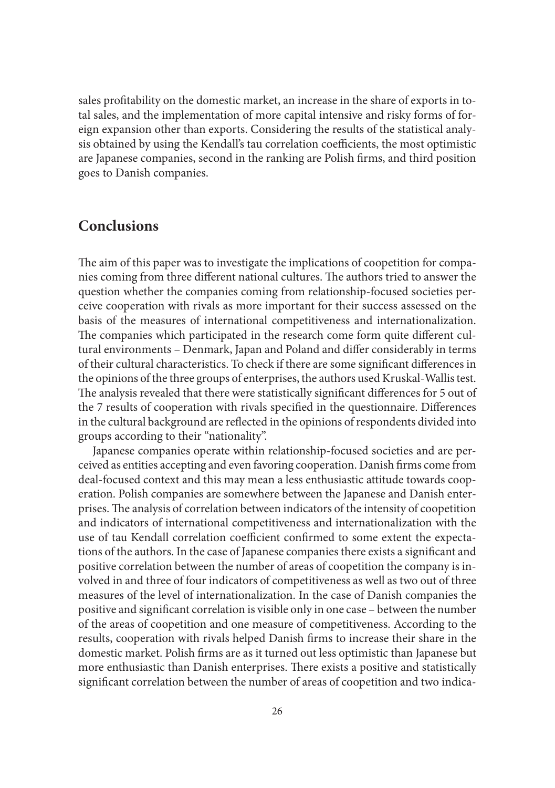sales profitability on the domestic market, an increase in the share of exports in total sales, and the implementation of more capital intensive and risky forms of foreign expansion other than exports. Considering the results of the statistical analysis obtained by using the Kendall's tau correlation coefficients, the most optimistic are Japanese companies, second in the ranking are Polish firms, and third position goes to Danish companies.

#### **Conclusions**

The aim of this paper was to investigate the implications of coopetition for companies coming from three different national cultures. The authors tried to answer the question whether the companies coming from relationship-focused societies perceive cooperation with rivals as more important for their success assessed on the basis of the measures of international competitiveness and internationalization. The companies which participated in the research come form quite different cultural environments - Denmark, Japan and Poland and differ considerably in terms of their cultural characteristics. To check if there are some significant differences in the opinions of the three groups of enterprises, the authors used Kruskal-Wallis test. The analysis revealed that there were statistically significant differences for 5 out of the 7 results of cooperation with rivals specified in the questionnaire. Differences in the cultural background are reflected in the opinions of respondents divided into groups according to their "nationality".

Japanese companies operate within relationship-focused societies and are perceived as entities accepting and even favoring cooperation. Danish firms come from deal-focused context and this may mean a less enthusiastic attitude towards cooperation. Polish companies are somewhere between the Japanese and Danish enterprises. The analysis of correlation between indicators of the intensity of coopetition and indicators of international competitiveness and internationalization with the use of tau Kendall correlation coefficient confirmed to some extent the expectations of the authors. In the case of Japanese companies there exists a significant and positive correlation between the number of areas of coopetition the company is involved in and three of four indicators of competitiveness as well as two out of three measures of the level of internationalization. In the case of Danish companies the positive and significant correlation is visible only in one case – between the number of the areas of coopetition and one measure of competitiveness. According to the results, cooperation with rivals helped Danish firms to increase their share in the domestic market. Polish firms are as it turned out less optimistic than Japanese but more enthusiastic than Danish enterprises. There exists a positive and statistically significant correlation between the number of areas of coopetition and two indica